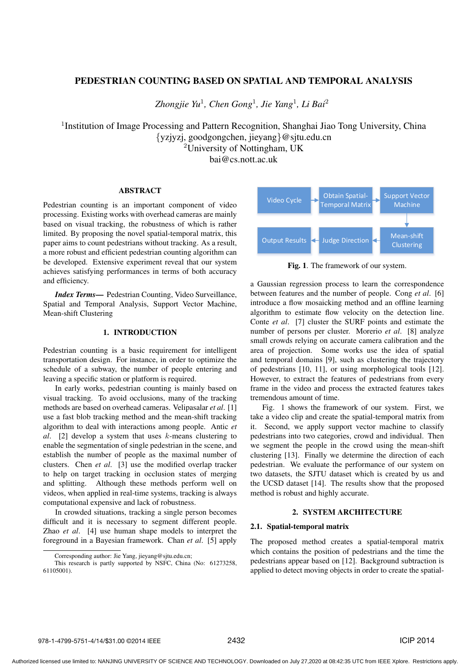# PEDESTRIAN COUNTING BASED ON SPATIAL AND TEMPORAL ANALYSIS

*Zhongjie Yu*<sup>1</sup>*, Chen Gong*<sup>1</sup>*, Jie Yang*<sup>1</sup>*, Li Bai*<sup>2</sup>

<sup>1</sup>Institution of Image Processing and Pattern Recognition, Shanghai Jiao Tong University, China {yzjyzj, goodgongchen, jieyang}@sjtu.edu.cn <sup>2</sup>University of Nottingham, UK

bai@cs.nott.ac.uk

## ABSTRACT

Pedestrian counting is an important component of video processing. Existing works with overhead cameras are mainly based on visual tracking, the robustness of which is rather limited. By proposing the novel spatial-temporal matrix, this paper aims to count pedestrians without tracking. As a result, a more robust and efficient pedestrian counting algorithm can be developed. Extensive experiment reveal that our system achieves satisfying performances in terms of both accuracy and efficiency.

*Index Terms*— Pedestrian Counting, Video Surveillance, Spatial and Temporal Analysis, Support Vector Machine, Mean-shift Clustering

### 1. INTRODUCTION

Pedestrian counting is a basic requirement for intelligent transportation design. For instance, in order to optimize the schedule of a subway, the number of people entering and leaving a specific station or platform is required.

In early works, pedestrian counting is mainly based on visual tracking. To avoid occlusions, many of the tracking methods are based on overhead cameras. Velipasalar *et al*. [1] use a fast blob tracking method and the mean-shift tracking algorithm to deal with interactions among people. Antic *et al*. [2] develop a system that uses k-means clustering to enable the segmentation of single pedestrian in the scene, and establish the number of people as the maximal number of clusters. Chen *et al*. [3] use the modified overlap tracker to help on target tracking in occlusion states of merging and splitting. Although these methods perform well on videos, when applied in real-time systems, tracking is always computational expensive and lack of robustness.

In crowded situations, tracking a single person becomes difficult and it is necessary to segment different people. Zhao *et al*. [4] use human shape models to interpret the foreground in a Bayesian framework. Chan *et al*. [5] apply



Fig. 1. The framework of our system.

a Gaussian regression process to learn the correspondence between features and the number of people. Cong *et al*. [6] introduce a flow mosaicking method and an offline learning algorithm to estimate flow velocity on the detection line. Conte *et al*. [7] cluster the SURF points and estimate the number of persons per cluster. Morerio *et al*. [8] analyze small crowds relying on accurate camera calibration and the area of projection. Some works use the idea of spatial and temporal domains [9], such as clustering the trajectory of pedestrians [10, 11], or using morphological tools [12]. However, to extract the features of pedestrians from every frame in the video and process the extracted features takes tremendous amount of time.

Fig. 1 shows the framework of our system. First, we take a video clip and create the spatial-temporal matrix from it. Second, we apply support vector machine to classify pedestrians into two categories, crowd and individual. Then we segment the people in the crowd using the mean-shift clustering [13]. Finally we determine the direction of each pedestrian. We evaluate the performance of our system on two datasets, the SJTU dataset which is created by us and the UCSD dataset [14]. The results show that the proposed method is robust and highly accurate.

## 2. SYSTEM ARCHITECTURE

### 2.1. Spatial-temporal matrix

The proposed method creates a spatial-temporal matrix which contains the position of pedestrians and the time the pedestrians appear based on [12]. Background subtraction is applied to detect moving objects in order to create the spatial-

Corresponding author: Jie Yang, jieyang@sjtu.edu.cn;

This research is partly supported by NSFC, China (No: 61273258, 61105001).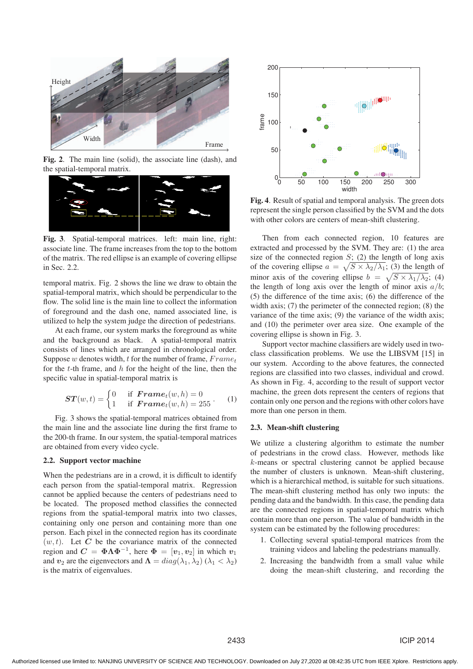

Fig. 2. The main line (solid), the associate line (dash), and the spatial-temporal matrix.



Fig. 3. Spatial-temporal matrices. left: main line, right: associate line. The frame increases from the top to the bottom of the matrix. The red ellipse is an example of covering ellipse in Sec. 2.2.

temporal matrix. Fig. 2 shows the line we draw to obtain the spatial-temporal matrix, which should be perpendicular to the flow. The solid line is the main line to collect the information of foreground and the dash one, named associated line, is utilized to help the system judge the direction of pedestrians.

At each frame, our system marks the foreground as white and the background as black. A spatial-temporal matrix consists of lines which are arranged in chronological order. Suppose w denotes width, t for the number of frame,  $Frame<sub>t</sub>$ for the  $t$ -th frame, and  $h$  for the height of the line, then the specific value in spatial-temporal matrix is

$$
\mathbf{ST}(w,t) = \begin{cases} 0 & \text{if } \mathbf{Frame}_t(w,h) = 0\\ 1 & \text{if } \mathbf{Frame}_t(w,h) = 255 \end{cases} \tag{1}
$$

Fig. 3 shows the spatial-temporal matrices obtained from the main line and the associate line during the first frame to the 200-th frame. In our system, the spatial-temporal matrices are obtained from every video cycle.

#### 2.2. Support vector machine

When the pedestrians are in a crowd, it is difficult to identify each person from the spatial-temporal matrix. Regression cannot be applied because the centers of pedestrians need to be located. The proposed method classifies the connected regions from the spatial-temporal matrix into two classes, containing only one person and containing more than one person. Each pixel in the connected region has its coordinate  $(w, t)$ . Let *C* be the covariance matrix of the connected region and  $C = \Phi \Lambda \Phi^{-1}$ , here  $\Phi = [v_1, v_2]$  in which  $v_1$ and  $v_2$  are the eigenvectors and  $\Lambda = diag(\lambda_1, \lambda_2)$  ( $\lambda_1 < \lambda_2$ ) is the matrix of eigenvalues.



Fig. 4. Result of spatial and temporal analysis. The green dots represent the single person classified by the SVM and the dots with other colors are centers of mean-shift clustering.

Then from each connected region, 10 features are extracted and processed by the SVM. They are: (1) the area size of the connected region  $S$ ; (2) the length of long axis of the covering ellipse  $a = \sqrt{S \times \lambda_2/\lambda_1}$ ; (3) the length of minor axis of the covering ellipse  $b = \sqrt{S \times \lambda_1/\lambda_2}$ ; (4) the length of long axis over the length of minor axis  $a/b$ ; (5) the difference of the time axis; (6) the difference of the width axis; (7) the perimeter of the connected region; (8) the variance of the time axis; (9) the variance of the width axis; and (10) the perimeter over area size. One example of the covering ellipse is shown in Fig. 3.

Support vector machine classifiers are widely used in twoclass classification problems. We use the LIBSVM [15] in our system. According to the above features, the connected regions are classified into two classes, individual and crowd. As shown in Fig. 4, according to the result of support vector machine, the green dots represent the centers of regions that contain only one person and the regions with other colors have more than one person in them.

#### 2.3. Mean-shift clustering

We utilize a clustering algorithm to estimate the number of pedestrians in the crowd class. However, methods like k-means or spectral clustering cannot be applied because the number of clusters is unknown. Mean-shift clustering, which is a hierarchical method, is suitable for such situations. The mean-shift clustering method has only two inputs: the pending data and the bandwidth. In this case, the pending data are the connected regions in spatial-temporal matrix which contain more than one person. The value of bandwidth in the system can be estimated by the following procedures:

- 1. Collecting several spatial-temporal matrices from the training videos and labeling the pedestrians manually.
- 2. Increasing the bandwidth from a small value while doing the mean-shift clustering, and recording the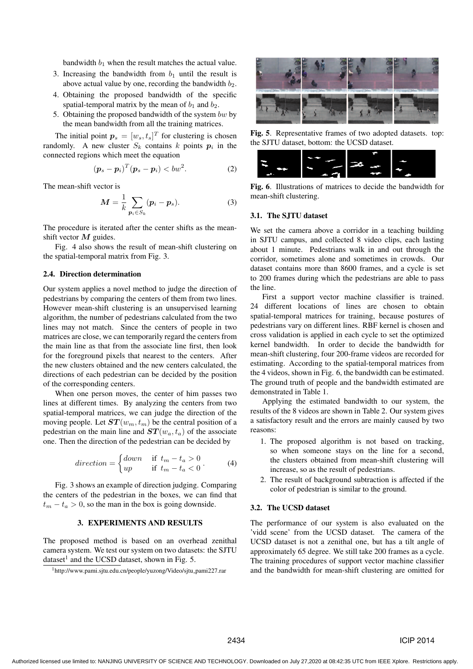bandwidth  $b_1$  when the result matches the actual value.

- 3. Increasing the bandwidth from  $b_1$  until the result is above actual value by one, recording the bandwidth  $b_2$ .
- 4. Obtaining the proposed bandwidth of the specific spatial-temporal matrix by the mean of  $b_1$  and  $b_2$ .
- 5. Obtaining the proposed bandwidth of the system  $bw$  by the mean bandwidth from all the training matrices.

The initial point  $p_s = [w_s, t_s]^T$  for clustering is chosen randomly. A new cluster  $S_k$  contains k points  $p_i$  in the connected regions which meet the equation

$$
(\boldsymbol{p}_s-\boldsymbol{p}_i)^T(\boldsymbol{p}_s-\boldsymbol{p}_i)< bw^2.\tag{2}
$$

The mean-shift vector is

$$
M = \frac{1}{k} \sum_{p_i \in S_k} (p_i - p_s).
$$
 (3)

The procedure is iterated after the center shifts as the meanshift vector *M* guides.

Fig. 4 also shows the result of mean-shift clustering on the spatial-temporal matrix from Fig. 3.

#### 2.4. Direction determination

Our system applies a novel method to judge the direction of pedestrians by comparing the centers of them from two lines. However mean-shift clustering is an unsupervised learning algorithm, the number of pedestrians calculated from the two lines may not match. Since the centers of people in two matrices are close, we can temporarily regard the centers from the main line as that from the associate line first, then look for the foreground pixels that nearest to the centers. After the new clusters obtained and the new centers calculated, the directions of each pedestrian can be decided by the position of the corresponding centers.

When one person moves, the center of him passes two lines at different times. By analyzing the centers from two spatial-temporal matrices, we can judge the direction of the moving people. Let  $ST(w_m, t_m)$  be the central position of a pedestrian on the main line and  $ST(w_a, t_a)$  of the associate one. Then the direction of the pedestrian can be decided by

$$
direction = \begin{cases} down & \text{if } t_m - t_a > 0 \\ up & \text{if } t_m - t_a < 0 \end{cases} \tag{4}
$$

Fig. 3 shows an example of direction judging. Comparing the centers of the pedestrian in the boxes, we can find that  $t_m - t_a > 0$ , so the man in the box is going downside.

#### 3. EXPERIMENTS AND RESULTS

The proposed method is based on an overhead zenithal camera system. We test our system on two datasets: the SJTU dataset<sup>1</sup> and the UCSD dataset, shown in Fig. 5.



Fig. 5. Representative frames of two adopted datasets. top: the SJTU dataset, bottom: the UCSD dataset.



Fig. 6. Illustrations of matrices to decide the bandwidth for mean-shift clustering.

#### 3.1. The SJTU dataset

We set the camera above a corridor in a teaching building in SJTU campus, and collected 8 video clips, each lasting about 1 minute. Pedestrians walk in and out through the corridor, sometimes alone and sometimes in crowds. Our dataset contains more than 8600 frames, and a cycle is set to 200 frames during which the pedestrians are able to pass the line.

First a support vector machine classifier is trained. 24 different locations of lines are chosen to obtain spatial-temporal matrices for training, because postures of pedestrians vary on different lines. RBF kernel is chosen and cross validation is applied in each cycle to set the optimized kernel bandwidth. In order to decide the bandwidth for mean-shift clustering, four 200-frame videos are recorded for estimating. According to the spatial-temporal matrices from the 4 videos, shown in Fig. 6, the bandwidth can be estimated. The ground truth of people and the bandwidth estimated are demonstrated in Table 1.

Applying the estimated bandwidth to our system, the results of the 8 videos are shown in Table 2. Our system gives a satisfactory result and the errors are mainly caused by two reasons:

- 1. The proposed algorithm is not based on tracking, so when someone stays on the line for a second, the clusters obtained from mean-shift clustering will increase, so as the result of pedestrians.
- 2. The result of background subtraction is affected if the color of pedestrian is similar to the ground.

#### 3.2. The UCSD dataset

The performance of our system is also evaluated on the 'vidd scene' from the UCSD dataset. The camera of the UCSD dataset is not a zenithal one, but has a tilt angle of approximately 65 degree. We still take 200 frames as a cycle. The training procedures of support vector machine classifier and the bandwidth for mean-shift clustering are omitted for

<sup>&</sup>lt;sup>1</sup>http://www.pami.sjtu.edu.cn/people/yuzong/Video/sjtu\_pami227.rar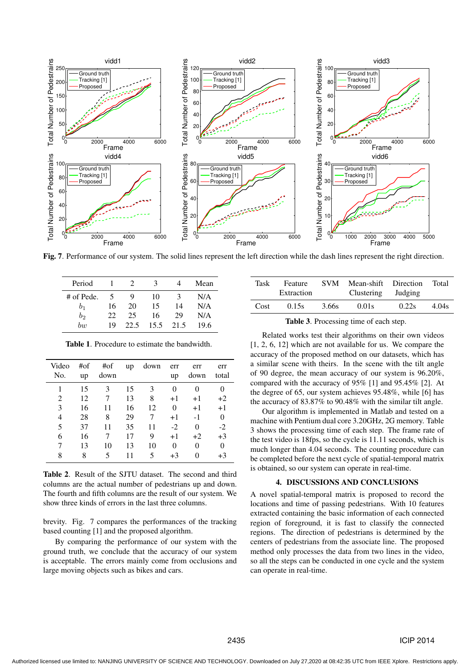

Fig. 7. Performance of our system. The solid lines represent the left direction while the dash lines represent the right direction.

| Period         |    | $\mathcal{L}$ | 3    |      | Mean |
|----------------|----|---------------|------|------|------|
| # of Pede.     |    | g             | 10   | 3    | N/A  |
| b <sub>1</sub> | 16 | 20            | 15   | 14   | N/A  |
| $b_2$          | 22 | 25            | 16   | 29   | N/A  |
| bw             | 19 | 22.5          | 15.5 | 21.5 | 19.6 |

| Video<br>No. | #of<br>up | #of<br>down | up | down | err<br>up | err<br>down | err<br>total |
|--------------|-----------|-------------|----|------|-----------|-------------|--------------|
|              | 15        | 3           | 15 | 3    | 0         |             |              |
| 2            | 12        |             | 13 | 8    | $+1$      | $+1$        | $+2$         |
| 3            | 16        | 11          | 16 | 12   | $\theta$  | $+1$        | $+1$         |
| 4            | 28        | 8           | 29 |      | $+1$      | $-1$        | $\theta$     |
| 5            | 37        | 11          | 35 | 11   | $-2$      | 0           | $-2$         |
| 6            | 16        |             | 17 | 9    | $+1$      | $+2$        | $+3$         |
|              | 13        | 10          | 13 | 10   | 0         | 0           | $\theta$     |
| 8            | 8         | 5           | 11 | 5    | $+3$      | 0           | +3           |

Table 1. Procedure to estimate the bandwidth.

Table 2. Result of the SJTU dataset. The second and third columns are the actual number of pedestrians up and down. The fourth and fifth columns are the result of our system. We show three kinds of errors in the last three columns.

brevity. Fig. 7 compares the performances of the tracking based counting [1] and the proposed algorithm.

By comparing the performance of our system with the ground truth, we conclude that the accuracy of our system is acceptable. The errors mainly come from occlusions and large moving objects such as bikes and cars.

| Task | Feature<br>Extraction | <b>SVM</b> | Mean-shift Direction<br>Clustering Judging |       | Total |
|------|-----------------------|------------|--------------------------------------------|-------|-------|
| Cost | 0.15s                 | 3.66s      | 0.01s                                      | 0.22s | 4.04s |

|      | Extraction |       | Clustering Judging |       |       |
|------|------------|-------|--------------------|-------|-------|
| Cost | 0.15s      | 3.66s | 0.01s              | 0.22s | 4.04s |
|      |            |       |                    |       |       |

|  | Table 3. Processing time of each step. |  |  |  |
|--|----------------------------------------|--|--|--|
|--|----------------------------------------|--|--|--|

Related works test their algorithms on their own videos [1, 2, 6, 12] which are not available for us. We compare the accuracy of the proposed method on our datasets, which has a similar scene with theirs. In the scene with the tilt angle of 90 degree, the mean accuracy of our system is 96.20%, compared with the accuracy of 95% [1] and 95.45% [2]. At the degree of 65, our system achieves 95.48%, while [6] has the accuracy of 83.87% to 90.48% with the similar tilt angle.

Our algorithm is implemented in Matlab and tested on a machine with Pentium dual core 3.20GHz, 2G memory. Table 3 shows the processing time of each step. The frame rate of the test video is 18fps, so the cycle is 11.11 seconds, which is much longer than 4.04 seconds. The counting procedure can be completed before the next cycle of spatial-temporal matrix is obtained, so our system can operate in real-time.

## 4. DISCUSSIONS AND CONCLUSIONS

A novel spatial-temporal matrix is proposed to record the locations and time of passing pedestrians. With 10 features extracted containing the basic information of each connected region of foreground, it is fast to classify the connected regions. The direction of pedestrians is determined by the centers of pedestrians from the associate line. The proposed method only processes the data from two lines in the video, so all the steps can be conducted in one cycle and the system can operate in real-time.